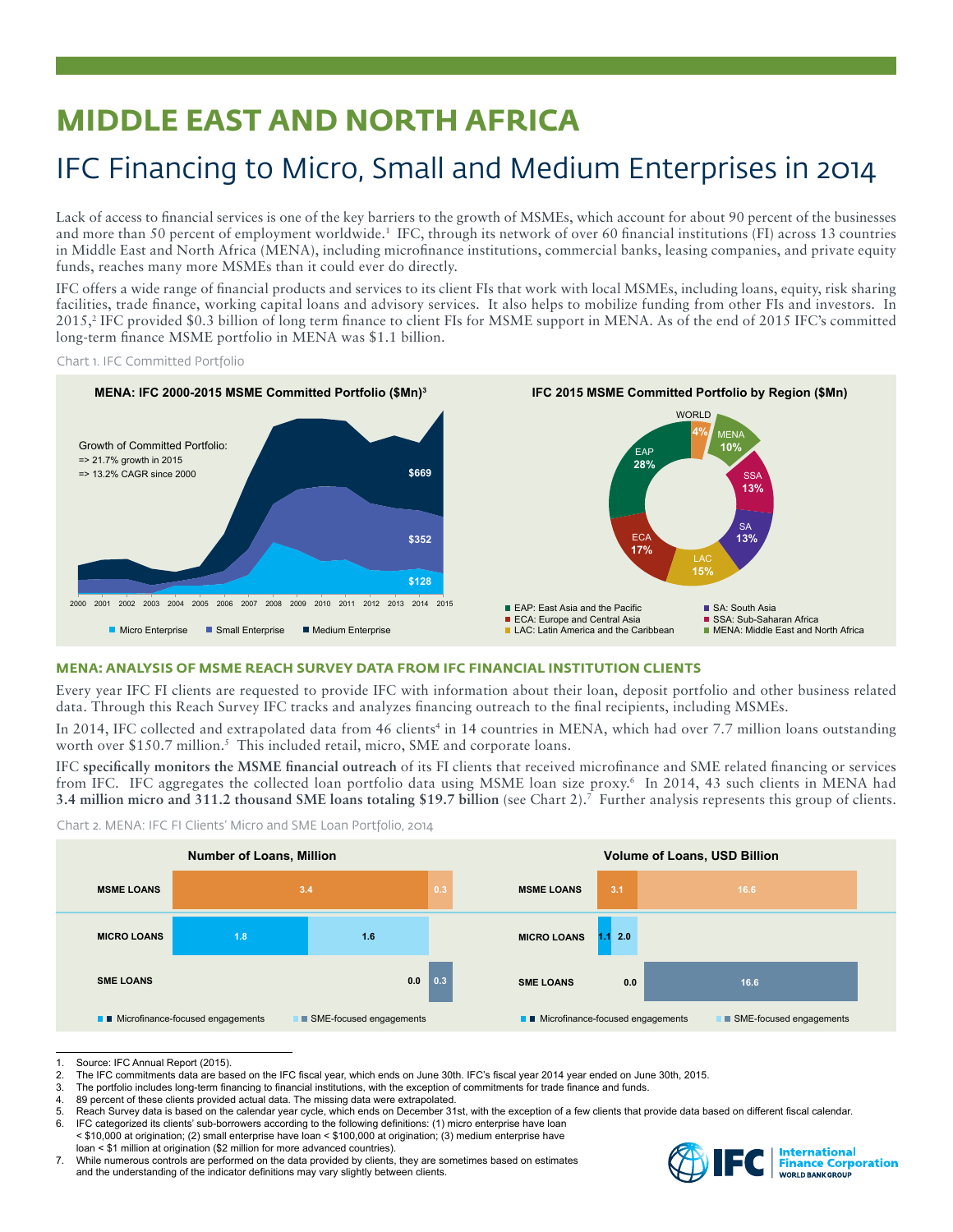# **MIDDLE EAST AND NORTH AFRICA**

## IFC Financing to Micro, Small and Medium Enterprises in 2014

Lack of access to financial services is one of the key barriers to the growth of MSMEs, which account for about 90 percent of the businesses and more than 50 percent of employment worldwide.<sup>1</sup> IFC, through its network of over 60 financial institutions (FI) across 13 countries in Middle East and North Africa (MENA), including microfinance institutions, commercial banks, leasing companies, and private equity funds, reaches many more MSMEs than it could ever do directly.

IFC offers a wide range of financial products and services to its client FIs that work with local MSMEs, including loans, equity, risk sharing facilities, trade finance, working capital loans and advisory services. It also helps to mobilize funding from other FIs and investors. In 2015,<sup>2</sup> IFC provided \$0.3 billion of long term finance to client FIs for MSME support in MENA. As of the end of 2015 IFC's committed long-term finance MSME portfolio in MENA was \$1.1 billion.

Chart 1. IFC Committed Portfolio



## **MENA: ANALYSIS OF MSME REACH SURVEY DATA FROM IFC FINANCIAL INSTITUTION CLIENTS**

Every year IFC FI clients are requested to provide IFC with information about their loan, deposit portfolio and other business related data. Through this Reach Survey IFC tracks and analyzes financing outreach to the final recipients, including MSMEs.

In 2014, IFC collected and extrapolated data from 46 clients<sup>4</sup> in 14 countries in MENA, which had over 7.7 million loans outstanding worth over \$150.7 million.<sup>5</sup> This included retail, micro, SME and corporate loans.

IFC **specifically monitors the MSME financial outreach** of its FI clients that received microfinance and SME related financing or services from IFC. IFC aggregates the collected loan portfolio data using MSME loan size proxy.6 In 2014, 43 such clients in MENA had **3.4 million micro and 311.2 thousand SME loans totaling \$19.7 billion** (see Chart 2).7 Further analysis represents this group of clients.





<sup>1.</sup> Source: IFC Annual Report (2015).<br>2. The IFC commitments data are base

3. The portfolio includes long-term financing to financial institutions, with the exception of commitments for trade finance and funds.<br>4. 89 percent of these clients provided actual data. The missing data were extrapolate

89 percent of these clients provided actual data. The missing data were extrapolated.

- 5. Reach Survey data is based on the calendar year cycle, which ends on December 31st, with the exception of a few clients that provide data based on different fiscal calendar.<br>6. IEC categorized its clients' sub-borrowers
- IFC categorized its clients' sub-borrowers according to the following definitions: (1) micro enterprise have loan < \$10,000 at origination; (2) small enterprise have loan < \$100,000 at origination; (3) medium enterprise have loan < \$1 million at origination (\$2 million for more advanced countries).
- 7. While numerous controls are performed on the data provided by clients, they are sometimes based on estimates and the understanding of the indicator definitions may vary slightly between clients.



The IFC commitments data are based on the IFC fiscal year, which ends on June 30th. IFC's fiscal year 2014 year ended on June 30th, 2015.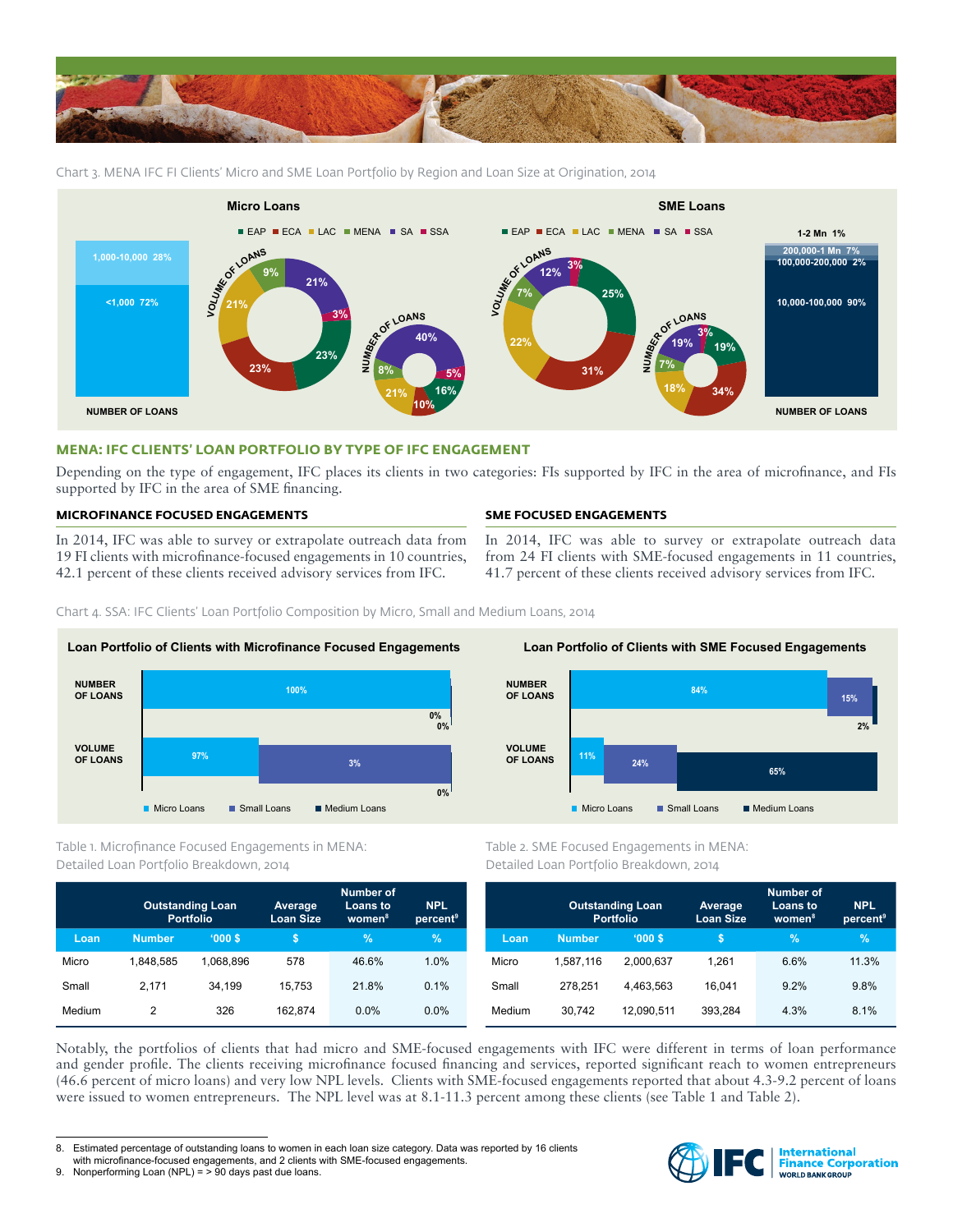

Chart 3. MENA IFC FI Clients' Micro and SME Loan Portfolio by Region and Loan Size at Origination, 2014



### **MENA: IFC CLIENTS' LOAN PORTFOLIO BY TYPE OF IFC ENGAGEMENT**

Depending on the type of engagement, IFC places its clients in two categories: FIs supported by IFC in the area of microfinance, and FIs supported by IFC in the area of SME financing.

## **MICROFINANCE FOCUSED ENGAGEMENTS**

In 2014, IFC was able to survey or extrapolate outreach data from 19 FI clients with microfinance-focused engagements in 10 countries, 42.1 percent of these clients received advisory services from IFC.

## **SME FOCUSED ENGAGEMENTS**

In 2014, IFC was able to survey or extrapolate outreach data from 24 FI clients with SME-focused engagements in 11 countries, 41.7 percent of these clients received advisory services from IFC.

Chart 4. SSA: IFC Clients' Loan Portfolio Composition by Micro, Small and Medium Loans, 2014



Table 1. Microfinance Focused Engagements in MENA: Detailed Loan Portfolio Breakdown, 2014

|        | <b>Outstanding Loan</b><br><b>Portfolio</b> |           | Average<br><b>Loan Size</b> | Number of<br><b>Loans to</b><br>women <sup>8</sup> | <b>NPL</b><br>percent <sup>9</sup> |
|--------|---------------------------------------------|-----------|-----------------------------|----------------------------------------------------|------------------------------------|
| Loan   | <b>Number</b>                               | '000S     | S                           | $\%$                                               | $\%$                               |
| Micro  | 1.848.585                                   | 1.068.896 | 578                         | 46.6%                                              | 1.0%                               |
| Small  | 2.171                                       | 34.199    | 15.753                      | 21.8%                                              | 0.1%                               |
| Medium | 2                                           | 326       | 162.874                     | 0.0%                                               | $0.0\%$                            |



Table 2. SME Focused Engagements in MENA: Detailed Loan Portfolio Breakdown, 2014

|        | <b>Outstanding Loan</b><br><b>Portfolio</b> |            | Average<br><b>Loan Size</b> | <b>Number of</b><br>Loans to<br>women <sup>8</sup> | <b>NPL</b><br>percent <sup>9</sup> |
|--------|---------------------------------------------|------------|-----------------------------|----------------------------------------------------|------------------------------------|
| Loan   | <b>Number</b>                               | '000S      | S                           | %                                                  | $\%$                               |
| Micro  | 1.587.116                                   | 2.000.637  | 1.261                       | 6.6%                                               | 11.3%                              |
| Small  | 278.251                                     | 4.463.563  | 16.041                      | 9.2%                                               | 9.8%                               |
| Medium | 30,742                                      | 12.090.511 | 393.284                     | 4.3%                                               | 8.1%                               |

Notably, the portfolios of clients that had micro and SME-focused engagements with IFC were different in terms of loan performance and gender profile. The clients receiving microfinance focused financing and services, reported significant reach to women entrepreneurs (46.6 percent of micro loans) and very low NPL levels. Clients with SME-focused engagements reported that about 4.3-9.2 percent of loans were issued to women entrepreneurs. The NPL level was at 8.1-11.3 percent among these clients (see Table 1 and Table 2).



<sup>8.</sup> Estimated percentage of outstanding loans to women in each loan size category. Data was reported by 16 clients

with microfinance-focused engagements, and 2 clients with SME-focused engagements.

<sup>9.</sup> Nonperforming Loan (NPL) =  $>$  90 days past due loans.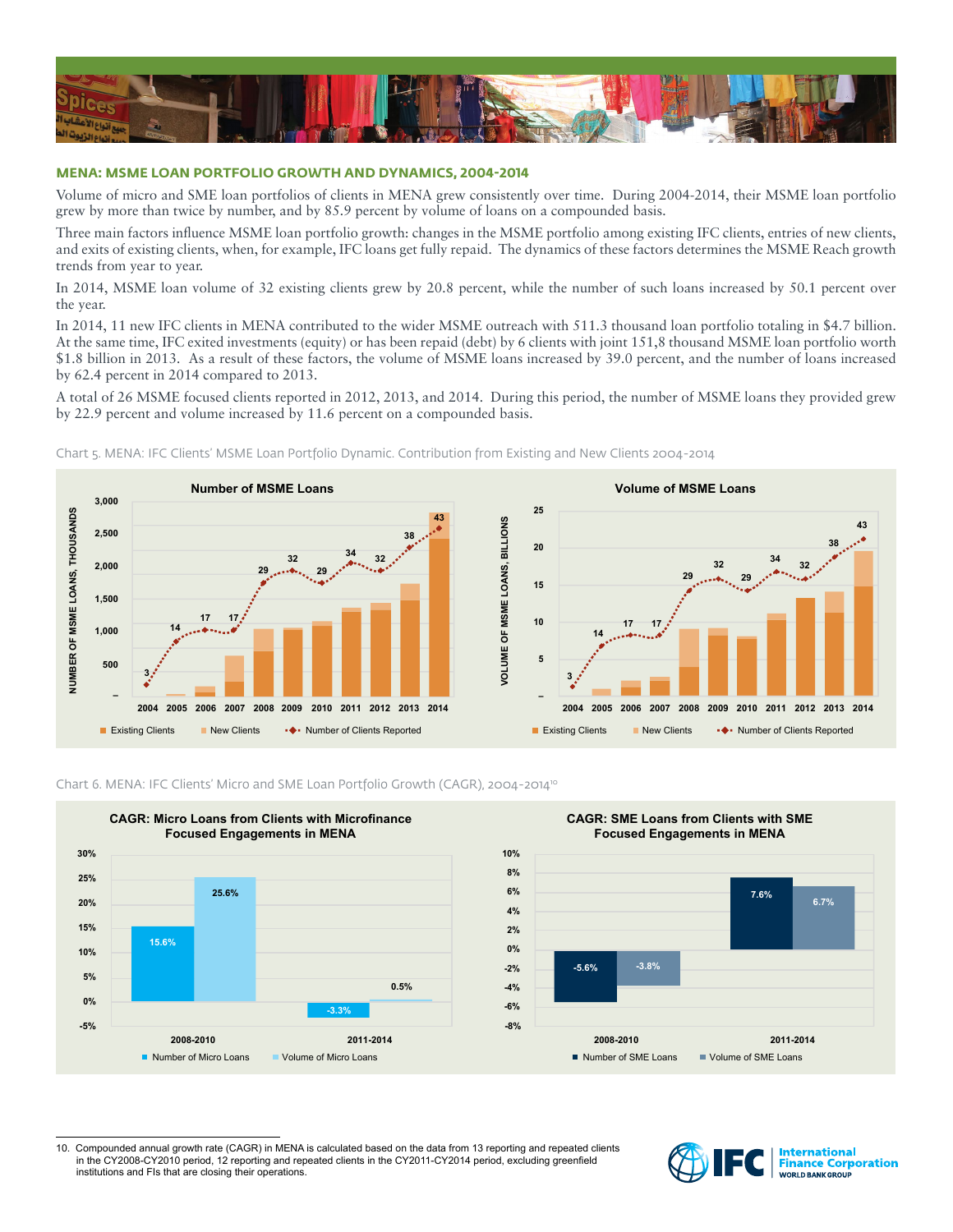

## **MENA: MSME LOAN PORTFOLIO GROWTH AND DYNAMICS, 2004-2014**

Volume of micro and SME loan portfolios of clients in MENA grew consistently over time. During 2004-2014, their MSME loan portfolio grew by more than twice by number, and by 85.9 percent by volume of loans on a compounded basis.

Three main factors influence MSME loan portfolio growth: changes in the MSME portfolio among existing IFC clients, entries of new clients, and exits of existing clients, when, for example, IFC loans get fully repaid. The dynamics of these factors determines the MSME Reach growth trends from year to year.

In 2014, MSME loan volume of 32 existing clients grew by 20.8 percent, while the number of such loans increased by 50.1 percent over the year.

In 2014, 11 new IFC clients in MENA contributed to the wider MSME outreach with 511.3 thousand loan portfolio totaling in \$4.7 billion. At the same time, IFC exited investments (equity) or has been repaid (debt) by 6 clients with joint 151,8 thousand MSME loan portfolio worth \$1.8 billion in 2013. As a result of these factors, the volume of MSME loans increased by 39.0 percent, and the number of loans increased by 62.4 percent in 2014 compared to 2013.

A total of 26 MSME focused clients reported in 2012, 2013, and 2014. During this period, the number of MSME loans they provided grew by 22.9 percent and volume increased by 11.6 percent on a compounded basis.



Chart 5. MENA: IFC Clients' MSME Loan Portfolio Dynamic. Contribution from Existing and New Clients 2004-2014



#### Chart 6. MENA: IFC Clients' Micro and SME Loan Portfolio Growth (CAGR), 2004-201410



<sup>10.</sup> Compounded annual growth rate (CAGR) in MENA is calculated based on the data from 13 reporting and repeated clients in the CY2008-CY2010 period, 12 reporting and repeated clients in the CY2011-CY2014 period, excluding greenfield